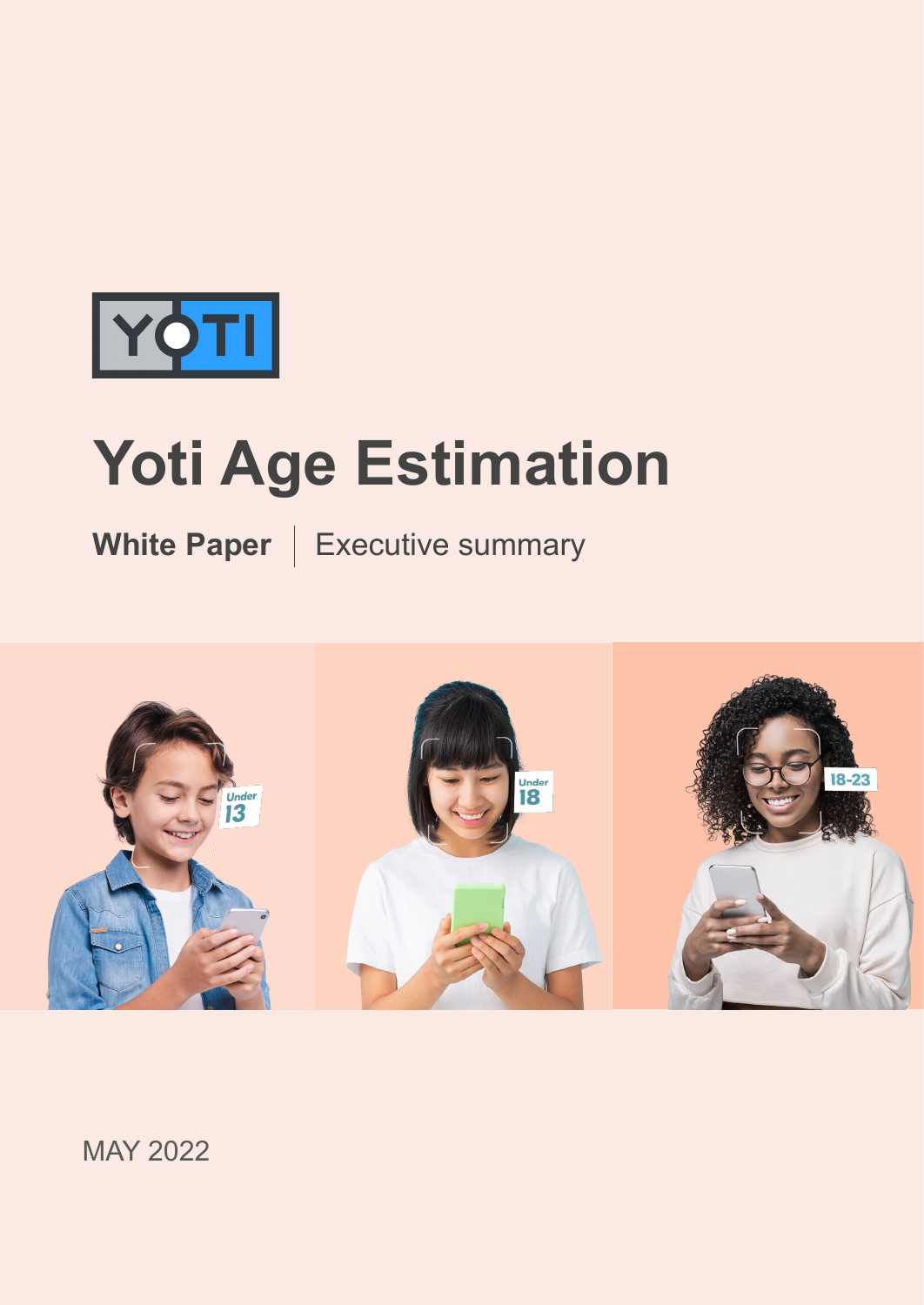

# **Yoti Age Estimation**

**White Paper** | Executive summary



MAY 2022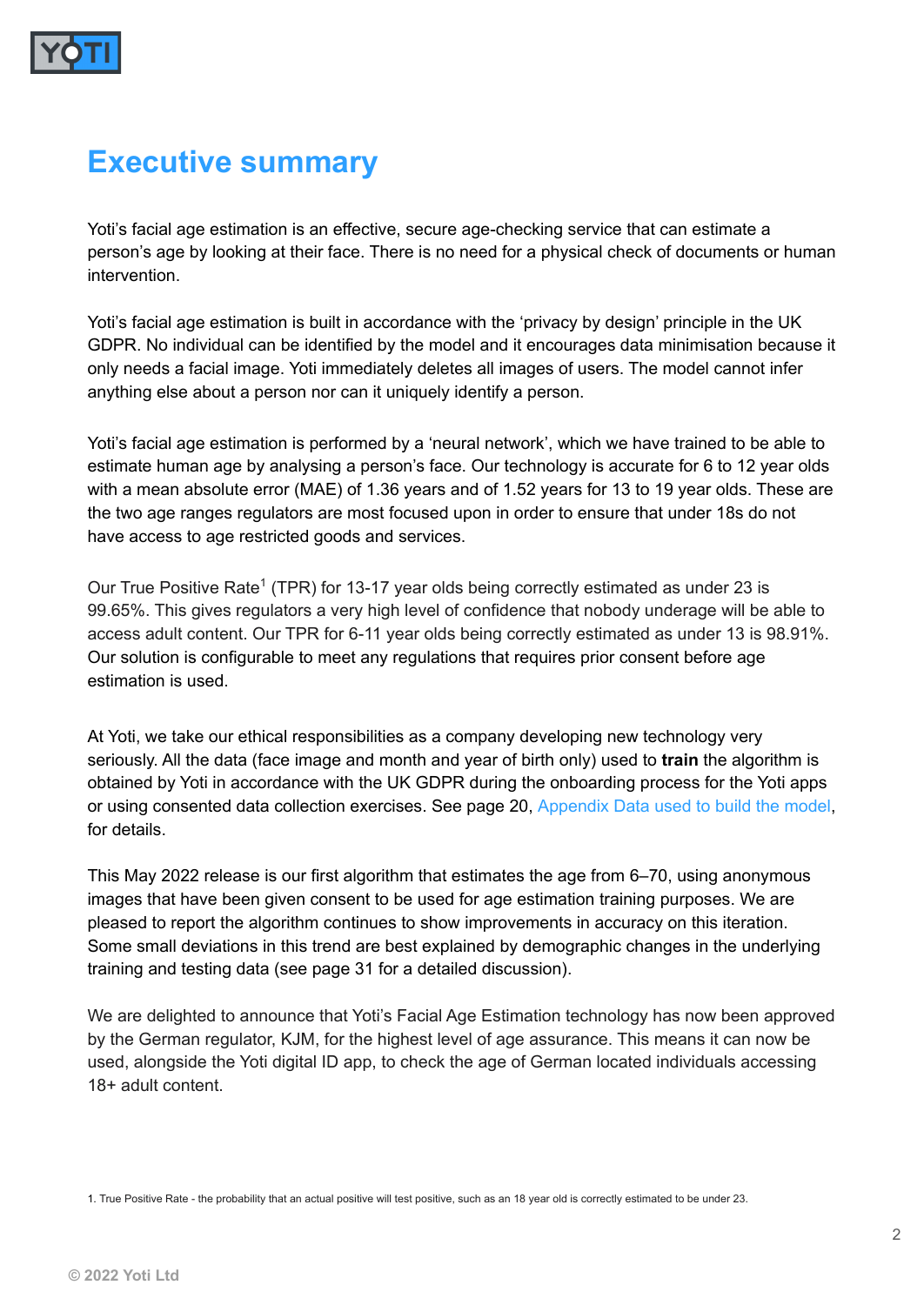

#### **Executive summary**

Yoti's facial age estimation is an effective, secure age-checking service that can estimate a person's age by looking at their face. There is no need for a physical check of documents or human intervention.

Yoti's facial age estimation is built in accordance with the 'privacy by design' principle in the UK GDPR. No individual can be identified by the model and it encourages data minimisation because it only needs a facial image. Yoti immediately deletes all images of users. The model cannot infer anything else about a person nor can it uniquely identify a person.

Yoti's facial age estimation is performed by a 'neural network', which we have trained to be able to estimate human age by analysing a person's face. Our technology is accurate for 6 to 12 year olds with a mean absolute error (MAE) of 1.36 years and of 1.52 years for 13 to 19 year olds. These are the two age ranges regulators are most focused upon in order to ensure that under 18s do not have access to age restricted goods and services.

Our True Positive Rate<sup>1</sup> (TPR) for 13-17 year olds being correctly estimated as under 23 is 99.65%. This gives regulators a very high level of confidence that nobody underage will be able to access adult content. Our TPR for 6-11 year olds being correctly estimated as under 13 is 98.91%. Our solution is configurable to meet any regulations that requires prior consent before age estimation is used.

At Yoti, we take our ethical responsibilities as a company developing new technology very seriously. All the data (face image and month and year of birth only) used to **train** the algorithm is obtained by Yoti in accordance with the UK GDPR during the onboarding process for the Yoti apps or using consented data collection exercises. See page 20, Appendix Data used to build the model, for details.

This May 2022 release is our first algorithm that estimates the age from 6–70, using anonymous images that have been given consent to be used for age estimation training purposes. We are pleased to report the algorithm continues to show improvements in accuracy on this iteration. Some small deviations in this trend are best explained by demographic changes in the underlying training and testing data (see page 31 for a detailed discussion).

We are delighted to announce that Yoti's Facial Age Estimation technology has now been approved by the German regulator, KJM, for the highest level of age assurance. This means it can now be used, alongside the Yoti digital ID app, to check the age of German located individuals accessing 18+ adult content.

1. True Positive Rate - the probability that an actual positive will test positive, such as an 18 year old is correctly estimated to be under 23.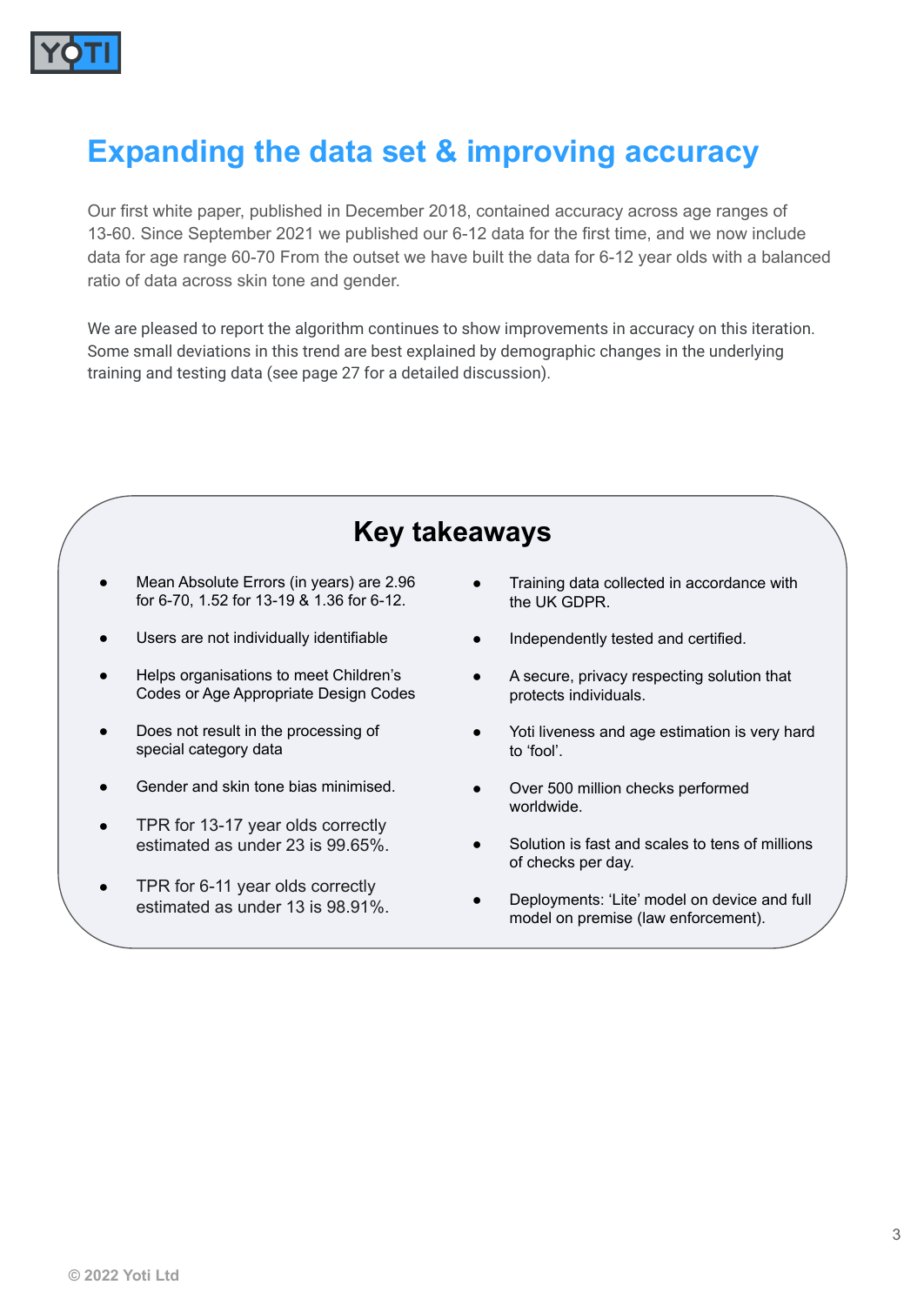

## **Expanding the data set & improving accuracy**

Our first white paper, published in December 2018, contained accuracy across age ranges of 13-60. Since September 2021 we published our 6-12 data for the first time, and we now include data for age range 60-70 From the outset we have built the data for 6-12 year olds with a balanced ratio of data across skin tone and gender.

We are pleased to report the algorithm continues to show improvements in accuracy on this iteration. Some small deviations in this trend are best explained by demographic changes in the underlying training and testing data (see page 27 for a detailed discussion).

#### **Key takeaways**

- Mean Absolute Errors (in years) are 2.96 for 6-70, 1.52 for 13-19 & 1.36 for 6-12.
- Users are not individually identifiable
- Helps organisations to meet Children's Codes or Age Appropriate Design Codes
- Does not result in the processing of special category data
- Gender and skin tone bias minimised.
- TPR for 13-17 year olds correctly estimated as under 23 is 99.65%.
- TPR for 6-11 year olds correctly estimated as under 13 is 98.91%.
- Training data collected in accordance with the UK GDPR.
- Independently tested and certified.
- A secure, privacy respecting solution that protects individuals.
- Yoti liveness and age estimation is very hard to 'fool'.
- Over 500 million checks performed worldwide.
- Solution is fast and scales to tens of millions of checks per day.
- Deployments: 'Lite' model on device and full model on premise (law enforcement).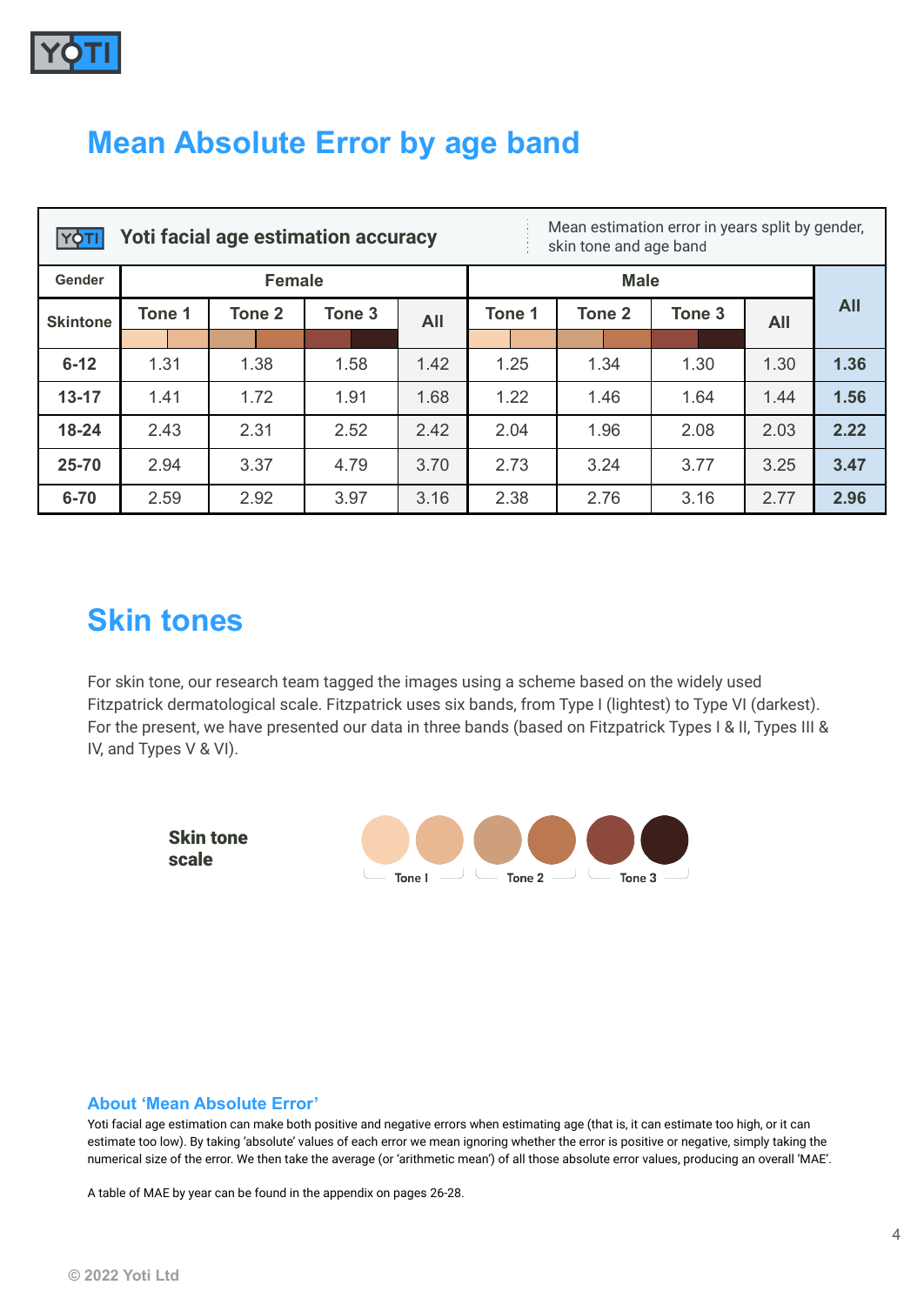

### **Mean Absolute Error by age band**

| YÒ              |               | <b>Yoti facial age estimation accuracy</b> | Mean estimation error in years split by gender,<br>skin tone and age band |            |             |        |        |            |            |
|-----------------|---------------|--------------------------------------------|---------------------------------------------------------------------------|------------|-------------|--------|--------|------------|------------|
| Gender          | <b>Female</b> |                                            |                                                                           |            | <b>Male</b> |        |        |            |            |
| <b>Skintone</b> | Tone 1        | Tone 2                                     | Tone 3                                                                    | <b>All</b> | Tone 1      | Tone 2 | Tone 3 | <b>All</b> | <b>All</b> |
|                 |               |                                            |                                                                           |            |             |        |        |            |            |
| $6 - 12$        | 1.31          | 1.38                                       | 1.58                                                                      | 1.42       | 1.25        | 1.34   | 1.30   | 1.30       | 1.36       |
| $13 - 17$       | 1.41          | 1.72                                       | 1.91                                                                      | 1.68       | 1.22        | 1.46   | 1.64   | 1.44       | 1.56       |
| $18 - 24$       | 2.43          | 2.31                                       | 2.52                                                                      | 2.42       | 2.04        | 1.96   | 2.08   | 2.03       | 2.22       |
| 25-70           | 2.94          | 3.37                                       | 4.79                                                                      | 3.70       | 2.73        | 3.24   | 3.77   | 3.25       | 3.47       |
| $6 - 70$        | 2.59          | 2.92                                       | 3.97                                                                      | 3.16       | 2.38        | 2.76   | 3.16   | 2.77       | 2.96       |

#### **Skin tones**

For skin tone, our research team tagged the images using a scheme based on the widely used Fitzpatrick dermatological scale. Fitzpatrick uses six bands, from Type I (lightest) to Type VI (darkest). For the present, we have presented our data in three bands (based on Fitzpatrick Types I & II, Types III & IV, and Types V & VI).



#### **About 'Mean Absolute Error'**

Yoti facial age estimation can make both positive and negative errors when estimating age (that is, it can estimate too high, or it can estimate too low). By taking 'absolute' values of each error we mean ignoring whether the error is positive or negative, simply taking the numerical size of the error. We then take the average (or 'arithmetic mean') of all those absolute error values, producing an overall 'MAE'.

A table of MAE by year can be found in the appendix on pages 26-28.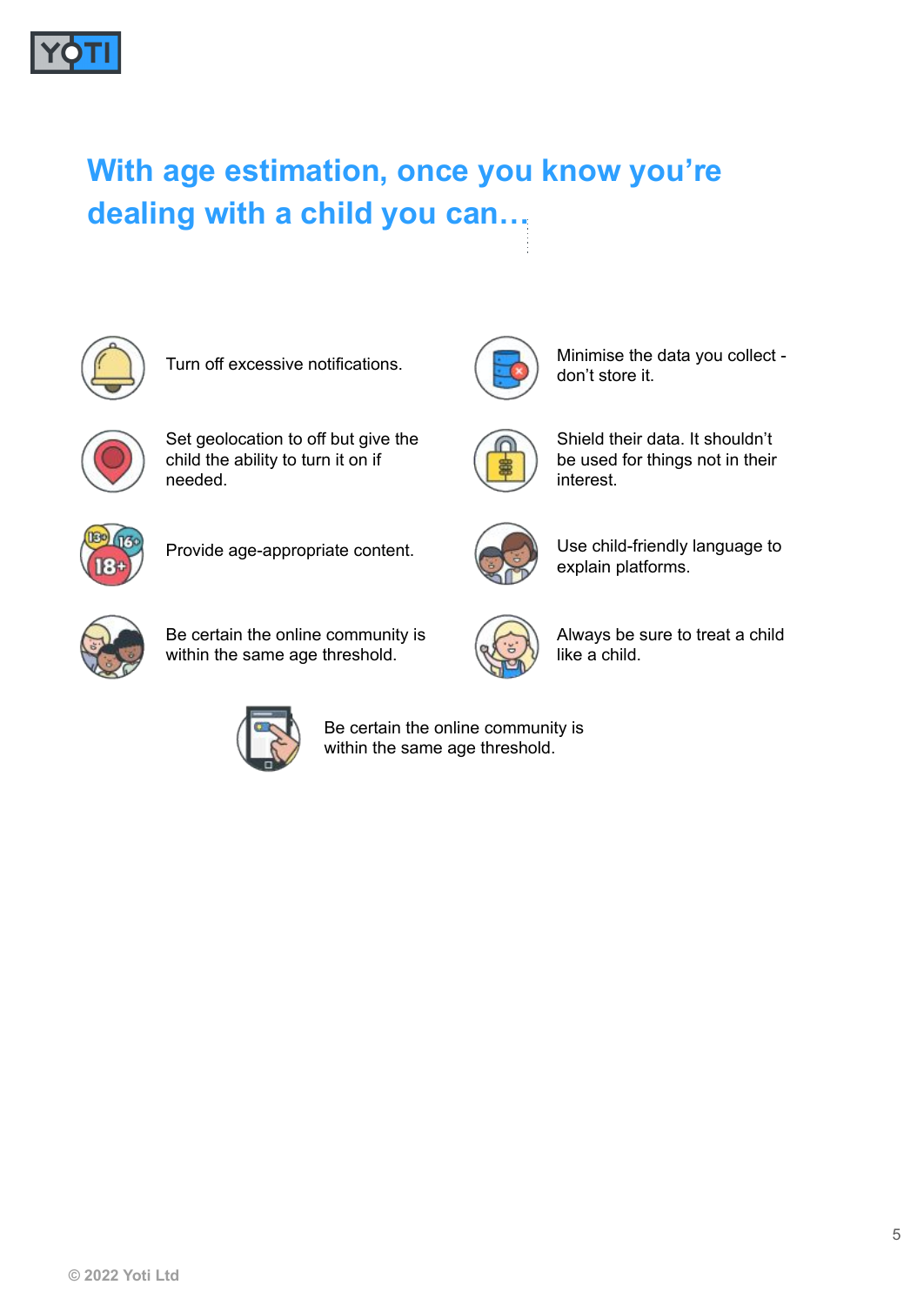

# **With age estimation, once you know you're dealing with a child you can…**



Turn off excessive notifications.



Set geolocation to off but give the child the ability to turn it on if needed.



Shield their data. It shouldn't be used for things not in their interest.

Minimise the data you collect -

don't store it.



Provide age-appropriate content.



Use child-friendly language to explain platforms.



Be certain the online community is within the same age threshold.



Always be sure to treat a child like a child.



Be certain the online community is within the same age threshold.